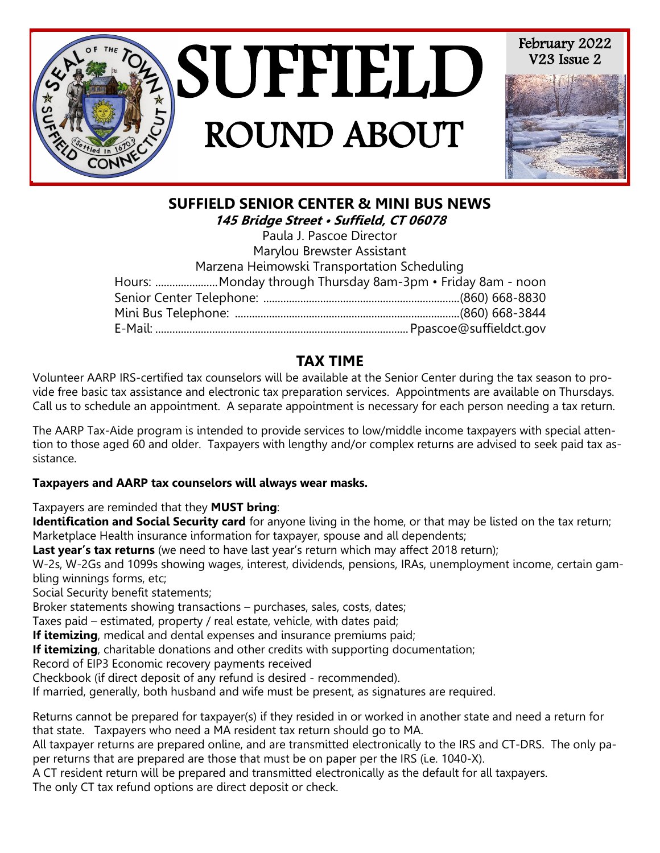

# **SUFFIELD SENIOR CENTER & MINI BUS NEWS 145 Bridge Street • Suffield, CT 06078**

Paula J. Pascoe Director Marylou Brewster Assistant Marzena Heimowski Transportation Scheduling Hours: ......................Monday through Thursday 8am-3pm • Friday 8am - noon Senior Center Telephone: .....................................................................(860) 668-8830 Mini Bus Telephone: ...............................................................................(860) 668-3844 E-Mail: .........................................................................................Ppascoe@suffieldct.gov

## **TAX TIME**

Volunteer AARP IRS-certified tax counselors will be available at the Senior Center during the tax season to provide free basic tax assistance and electronic tax preparation services. Appointments are available on Thursdays. Call us to schedule an appointment. A separate appointment is necessary for each person needing a tax return.

The AARP Tax-Aide program is intended to provide services to low/middle income taxpayers with special attention to those aged 60 and older. Taxpayers with lengthy and/or complex returns are advised to seek paid tax assistance.

### **Taxpayers and AARP tax counselors will always wear masks.**

Taxpayers are reminded that they **MUST bring**:

**Identification and Social Security card** for anyone living in the home, or that may be listed on the tax return; Marketplace Health insurance information for taxpayer, spouse and all dependents;

Last year's tax returns (we need to have last year's return which may affect 2018 return);

W-2s, W-2Gs and 1099s showing wages, interest, dividends, pensions, IRAs, unemployment income, certain gambling winnings forms, etc;

Social Security benefit statements;

Broker statements showing transactions – purchases, sales, costs, dates;

Taxes paid – estimated, property / real estate, vehicle, with dates paid;

**If itemizing**, medical and dental expenses and insurance premiums paid;

**If itemizing**, charitable donations and other credits with supporting documentation;

Record of EIP3 Economic recovery payments received

Checkbook (if direct deposit of any refund is desired - recommended).

If married, generally, both husband and wife must be present, as signatures are required.

Returns cannot be prepared for taxpayer(s) if they resided in or worked in another state and need a return for that state. Taxpayers who need a MA resident tax return should go to MA.

All taxpayer returns are prepared online, and are transmitted electronically to the IRS and CT-DRS. The only paper returns that are prepared are those that must be on paper per the IRS (i.e. 1040-X).

A CT resident return will be prepared and transmitted electronically as the default for all taxpayers.

The only CT tax refund options are direct deposit or check.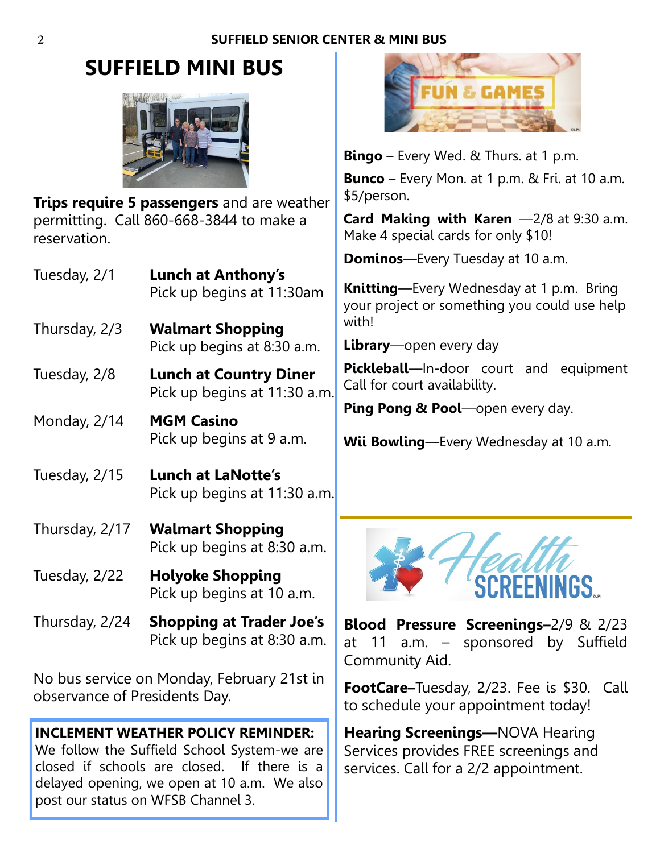# **SUFFIELD MINI BUS**



**Trips require 5 passengers** and are weather permitting. Call 860-668-3844 to make a reservation.

- Tuesday, 2/1 **Lunch at Anthony's** Pick up begins at 11:30am
- Thursday, 2/3 **Walmart Shopping** Pick up begins at 8:30 a.m.
- Tuesday, 2/8 **Lunch at Country Diner** Pick up begins at 11:30 a.m.
- Monday, 2/14 **MGM Casino** Pick up begins at 9 a.m.
- Tuesday, 2/15 **Lunch at LaNotte's** Pick up begins at 11:30 a.m.
- Thursday, 2/17 **Walmart Shopping** Pick up begins at 8:30 a.m.
- Tuesday, 2/22 **Holyoke Shopping** Pick up begins at 10 a.m.
- Thursday, 2/24 **Shopping at Trader Joe's** Pick up begins at 8:30 a.m.

No bus service on Monday, February 21st in observance of Presidents Day.

### **INCLEMENT WEATHER POLICY REMINDER:** We follow the Suffield School System-we are closed if schools are closed. If there is a delayed opening, we open at 10 a.m. We also post our status on WFSB Channel 3.



**Bingo** – Every Wed. & Thurs. at 1 p.m. **Bunco** – Every Mon. at 1 p.m. & Fri. at 10 a.m. \$5/person.

**Card Making with Karen** -2/8 at 9:30 a.m. Make 4 special cards for only \$10!

**Dominos**—Every Tuesday at 10 a.m.

**Knitting—**Every Wednesday at 1 p.m. Bring your project or something you could use help with!

**Library**—open every day

**Pickleball**—In-door court and equipment Call for court availability.

**Ping Pong & Pool**—open every day.

**Wii Bowling**—Every Wednesday at 10 a.m.



**Blood Pressure Screenings–**2/9 & 2/23 at 11 a.m. – sponsored by Suffield Community Aid.

**FootCare–**Tuesday, 2/23. Fee is \$30. Call to schedule your appointment today!

**Hearing Screenings—**NOVA Hearing Services provides FREE screenings and services. Call for a 2/2 appointment.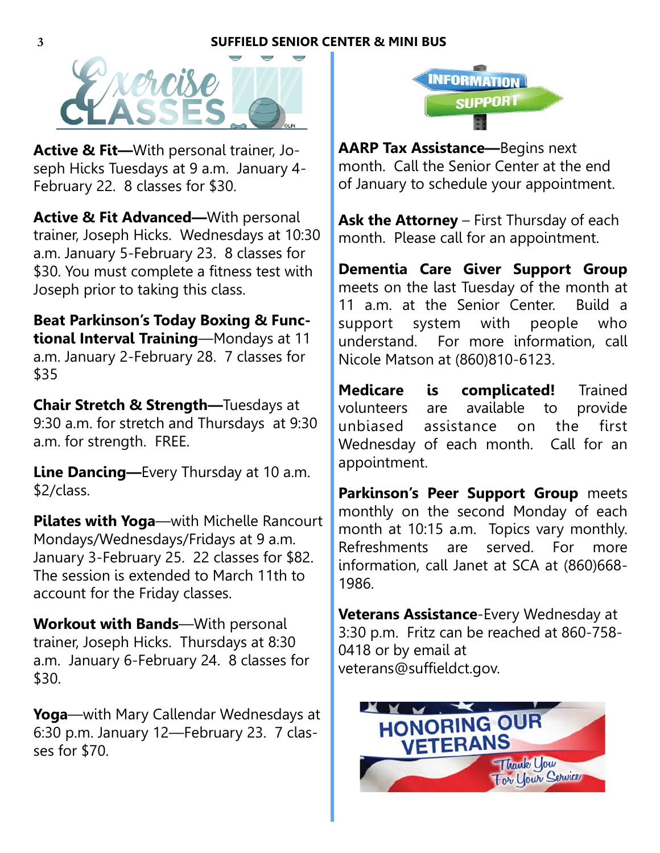### **3 SUFFIELD SENIOR CENTER & MINI BUS**



**Active & Fit—**With personal trainer, Joseph Hicks Tuesdays at 9 a.m. January 4- February 22. 8 classes for \$30.

**Active & Fit Advanced—**With personal trainer, Joseph Hicks. Wednesdays at 10:30 a.m. January 5-February 23. 8 classes for \$30. You must complete a fitness test with Joseph prior to taking this class.

**Beat Parkinson's Today Boxing & Functional Interval Training**—Mondays at 11 a.m. January 2-February 28. 7 classes for \$35

**Chair Stretch & Strength—**Tuesdays at 9:30 a.m. for stretch and Thursdays at 9:30 a.m. for strength. FREE.

**Line Dancing—**Every Thursday at 10 a.m. \$2/class.

**Pilates with Yoga**—with Michelle Rancourt Mondays/Wednesdays/Fridays at 9 a.m. January 3-February 25. 22 classes for \$82. The session is extended to March 11th to account for the Friday classes.

**Workout with Bands**—With personal trainer, Joseph Hicks. Thursdays at 8:30 a.m. January 6-February 24. 8 classes for \$30.

**Yoga**—with Mary Callendar Wednesdays at 6:30 p.m. January 12—February 23. 7 classes for \$70.



**AARP Tax Assistance—**Begins next month. Call the Senior Center at the end of January to schedule your appointment.

Ask the Attorney – First Thursday of each month. Please call for an appointment.

**Dementia Care Giver Support Group**  meets on the last Tuesday of the month at 11 a.m. at the Senior Center. Build a support system with people who understand. For more information, call Nicole Matson at (860)810-6123.

**Medicare is complicated!** Trained volunteers are available to provide unbiased assistance on the first Wednesday of each month. Call for an appointment.

**Parkinson's Peer Support Group** meets monthly on the second Monday of each month at 10:15 a.m. Topics vary monthly. Refreshments are served. For more information, call Janet at SCA at (860)668- 1986.

**Veterans Assistance**-Every Wednesday at 3:30 p.m. Fritz can be reached at 860-758- 0418 or by email at veterans@suffieldct.gov.

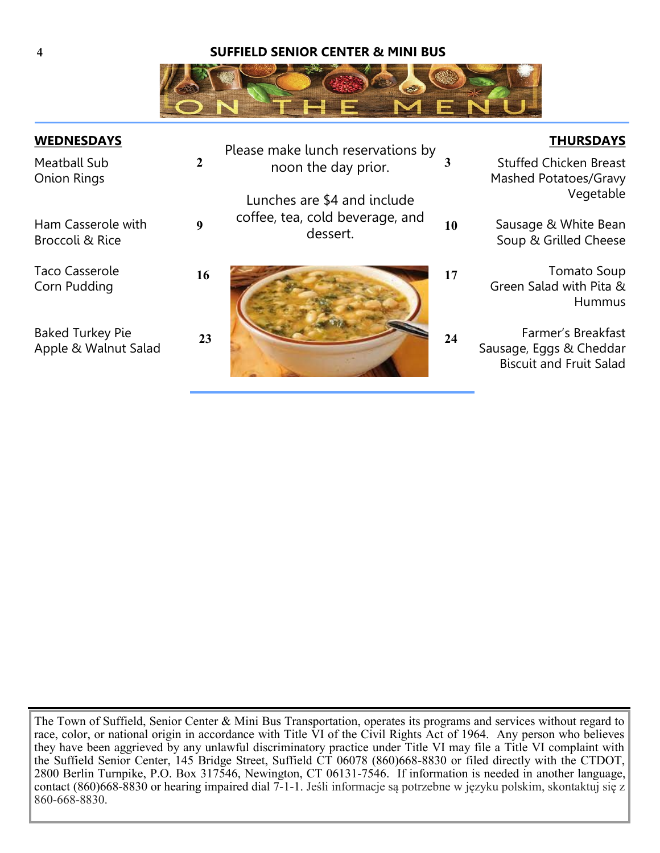#### **4 SUFFIELD SENIOR CENTER & MINI BUS**



| <b>WEDNESDAYS</b>                               |    | Please make lunch reservations by           |    | <b>THURSDAYS</b>                                                                |
|-------------------------------------------------|----|---------------------------------------------|----|---------------------------------------------------------------------------------|
| <b>Meatball Sub</b><br><b>Onion Rings</b>       | 2  | noon the day prior.                         |    | <b>Stuffed Chicken Breast</b><br>Mashed Potatoes/Gravy                          |
|                                                 |    | Lunches are \$4 and include                 |    | Vegetable                                                                       |
| Ham Casserole with<br>Broccoli & Rice           | 9  | coffee, tea, cold beverage, and<br>dessert. | 10 | Sausage & White Bean<br>Soup & Grilled Cheese                                   |
| <b>Taco Casserole</b><br>Corn Pudding           | 16 |                                             | 17 | Tomato Soup<br>Green Salad with Pita &<br><b>Hummus</b>                         |
| <b>Baked Turkey Pie</b><br>Apple & Walnut Salad | 23 |                                             | 24 | Farmer's Breakfast<br>Sausage, Eggs & Cheddar<br><b>Biscuit and Fruit Salad</b> |

The Town of Suffield, Senior Center & Mini Bus Transportation, operates its programs and services without regard to race, color, or national origin in accordance with Title VI of the Civil Rights Act of 1964. Any person who believes they have been aggrieved by any unlawful discriminatory practice under Title VI may file a Title VI complaint with the Suffield Senior Center, 145 Bridge Street, Suffield CT 06078 (860)668-8830 or filed directly with the CTDOT, 2800 Berlin Turnpike, P.O. Box 317546, Newington, CT 06131-7546. If information is needed in another language, contact (860)668-8830 or hearing impaired dial 7-1-1. Jeśli informacje są potrzebne w języku polskim, skontaktuj się z 860-668-8830.